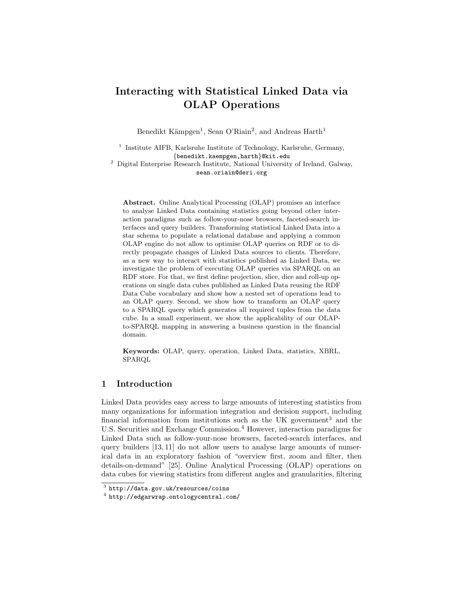# Interacting with Statistical Linked Data via OLAP Operations

Benedikt Kämpgen<sup>1</sup>, Sean O'Riain<sup>2</sup>, and Andreas Harth<sup>1</sup>

<sup>1</sup> Institute AIFB, Karlsruhe Institute of Technology, Karlsruhe, Germany, {benedikt.kaempgen,harth}@kit.edu

<sup>2</sup> Digital Enterprise Research Institute, National University of Ireland, Galway, sean.oriain@deri.org

Abstract. Online Analytical Processing (OLAP) promises an interface to analyse Linked Data containing statistics going beyond other interaction paradigms such as follow-your-nose browsers, faceted-search interfaces and query builders. Transforming statistical Linked Data into a star schema to populate a relational database and applying a common OLAP engine do not allow to optimise OLAP queries on RDF or to directly propagate changes of Linked Data sources to clients. Therefore, as a new way to interact with statistics published as Linked Data, we investigate the problem of executing OLAP queries via SPARQL on an RDF store. For that, we first define projection, slice, dice and roll-up operations on single data cubes published as Linked Data reusing the RDF Data Cube vocabulary and show how a nested set of operations lead to an OLAP query. Second, we show how to transform an OLAP query to a SPARQL query which generates all required tuples from the data cube. In a small experiment, we show the applicability of our OLAPto-SPARQL mapping in answering a business question in the financial domain.

Keywords: OLAP, query, operation, Linked Data, statistics, XBRL, SPARQL

# 1 Introduction

Linked Data provides easy access to large amounts of interesting statistics from many organizations for information integration and decision support, including financial information from institutions such as the UK government<sup>3</sup> and the U.S. Securities and Exchange Commission.<sup>4</sup> However, interaction paradigms for Linked Data such as follow-your-nose browsers, faceted-search interfaces, and query builders [13, 11] do not allow users to analyse large amounts of numerical data in an exploratory fashion of "overview first, zoom and filter, then details-on-demand" [25]. Online Analytical Processing (OLAP) operations on data cubes for viewing statistics from different angles and granularities, filtering

 $^3$  http://data.gov.uk/resources/coins

<sup>4</sup> http://edgarwrap.ontologycentral.com/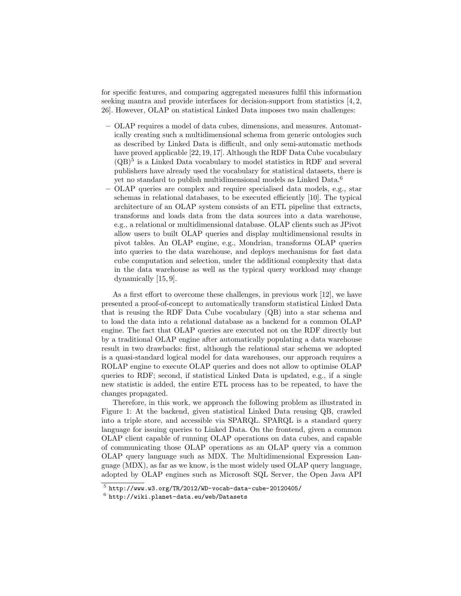for specific features, and comparing aggregated measures fulfil this information seeking mantra and provide interfaces for decision-support from statistics [4, 2, 26]. However, OLAP on statistical Linked Data imposes two main challenges:

- OLAP requires a model of data cubes, dimensions, and measures. Automatically creating such a multidimensional schema from generic ontologies such as described by Linked Data is difficult, and only semi-automatic methods have proved applicable [22, 19, 17]. Although the RDF Data Cube vocabulary  $(QB)^5$  is a Linked Data vocabulary to model statistics in RDF and several publishers have already used the vocabulary for statistical datasets, there is yet no standard to publish multidimensional models as Linked Data.<sup>6</sup>
- OLAP queries are complex and require specialised data models, e.g., star schemas in relational databases, to be executed efficiently [10]. The typical architecture of an OLAP system consists of an ETL pipeline that extracts, transforms and loads data from the data sources into a data warehouse, e.g., a relational or multidimensional database. OLAP clients such as JPivot allow users to built OLAP queries and display multidimensional results in pivot tables. An OLAP engine, e.g., Mondrian, transforms OLAP queries into queries to the data warehouse, and deploys mechanisms for fast data cube computation and selection, under the additional complexity that data in the data warehouse as well as the typical query workload may change dynamically [15, 9].

As a first effort to overcome these challenges, in previous work [12], we have presented a proof-of-concept to automatically transform statistical Linked Data that is reusing the RDF Data Cube vocabulary (QB) into a star schema and to load the data into a relational database as a backend for a common OLAP engine. The fact that OLAP queries are executed not on the RDF directly but by a traditional OLAP engine after automatically populating a data warehouse result in two drawbacks: first, although the relational star schema we adopted is a quasi-standard logical model for data warehouses, our approach requires a ROLAP engine to execute OLAP queries and does not allow to optimise OLAP queries to RDF; second, if statistical Linked Data is updated, e.g., if a single new statistic is added, the entire ETL process has to be repeated, to have the changes propagated.

Therefore, in this work, we approach the following problem as illustrated in Figure 1: At the backend, given statistical Linked Data reusing QB, crawled into a triple store, and accessible via SPARQL. SPARQL is a standard query language for issuing queries to Linked Data. On the frontend, given a common OLAP client capable of running OLAP operations on data cubes, and capable of communicating those OLAP operations as an OLAP query via a common OLAP query language such as MDX. The Multidimensional Expression Language (MDX), as far as we know, is the most widely used OLAP query language, adopted by OLAP engines such as Microsoft SQL Server, the Open Java API

 $^5$ http://www.w3.org/TR/2012/WD-vocab-data-cube-20120405/

 $^6$  http://wiki.planet-data.eu/web/Datasets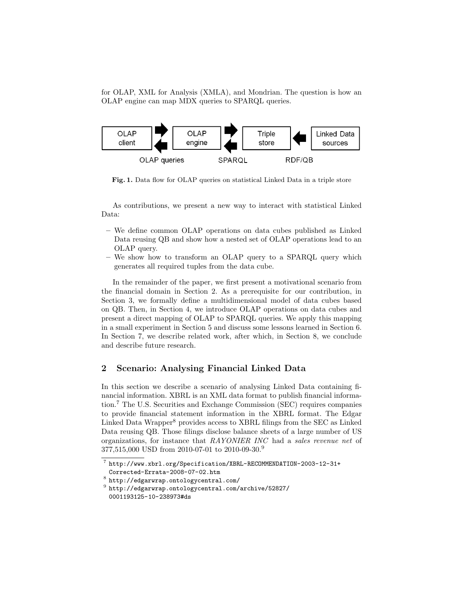for OLAP, XML for Analysis (XMLA), and Mondrian. The question is how an OLAP engine can map MDX queries to SPARQL queries.



Fig. 1. Data flow for OLAP queries on statistical Linked Data in a triple store

As contributions, we present a new way to interact with statistical Linked Data:

- We define common OLAP operations on data cubes published as Linked Data reusing QB and show how a nested set of OLAP operations lead to an OLAP query.
- We show how to transform an OLAP query to a SPARQL query which generates all required tuples from the data cube.

In the remainder of the paper, we first present a motivational scenario from the financial domain in Section 2. As a prerequisite for our contribution, in Section 3, we formally define a multidimensional model of data cubes based on QB. Then, in Section 4, we introduce OLAP operations on data cubes and present a direct mapping of OLAP to SPARQL queries. We apply this mapping in a small experiment in Section 5 and discuss some lessons learned in Section 6. In Section 7, we describe related work, after which, in Section 8, we conclude and describe future research.

# 2 Scenario: Analysing Financial Linked Data

In this section we describe a scenario of analysing Linked Data containing financial information. XBRL is an XML data format to publish financial information.<sup>7</sup> The U.S. Securities and Exchange Commission (SEC) requires companies to provide financial statement information in the XBRL format. The Edgar Linked Data Wrapper<sup>8</sup> provides access to XBRL filings from the SEC as Linked Data reusing QB. Those filings disclose balance sheets of a large number of US organizations, for instance that RAYONIER INC had a sales revenue net of 377,515,000 USD from 2010-07-01 to 2010-09-30.<sup>9</sup>

<sup>7</sup> http://www.xbrl.org/Specification/XBRL-RECOMMENDATION-2003-12-31+ Corrected-Errata-2008-07-02.htm

<sup>8</sup> http://edgarwrap.ontologycentral.com/

 $^9$  http://edgarwrap.ontologycentral.com/archive/52827/ 0001193125-10-238973#ds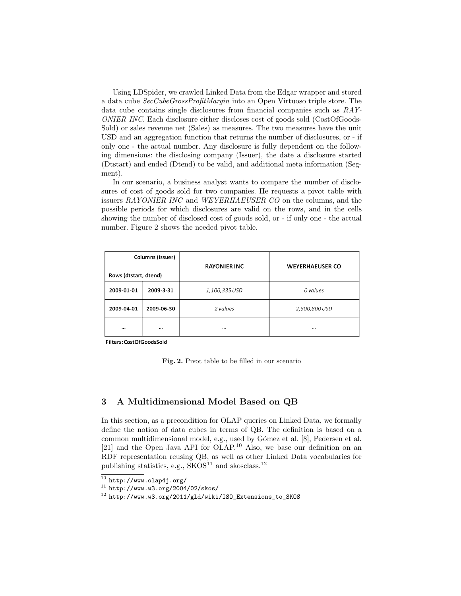Using LDSpider, we crawled Linked Data from the Edgar wrapper and stored a data cube SecCubeGrossProfitMargin into an Open Virtuoso triple store. The data cube contains single disclosures from financial companies such as RAY-ONIER INC. Each disclosure either discloses cost of goods sold (CostOfGoods-Sold) or sales revenue net (Sales) as measures. The two measures have the unit USD and an aggregation function that returns the number of disclosures, or - if only one - the actual number. Any disclosure is fully dependent on the following dimensions: the disclosing company (Issuer), the date a disclosure started (Dtstart) and ended (Dtend) to be valid, and additional meta information (Segment).

In our scenario, a business analyst wants to compare the number of disclosures of cost of goods sold for two companies. He requests a pivot table with issuers RAYONIER INC and WEYERHAEUSER CO on the columns, and the possible periods for which disclosures are valid on the rows, and in the cells showing the number of disclosed cost of goods sold, or - if only one - the actual number. Figure 2 shows the needed pivot table.

| Columns (issuer)<br>Rows (dtstart, dtend) |            | <b>RAYONIER INC</b> | <b>WEYERHAEUSER CO</b> |
|-------------------------------------------|------------|---------------------|------------------------|
| 2009-01-01                                | 2009-3-31  | 1,100,335 USD       | 0 values               |
| 2009-04-01                                | 2009-06-30 | 2 values            | 2,300,800 USD          |
| $\cdots$                                  | $\cdots$   | $\cdots$            | $\cdots$               |

Filters: CostOfGoodsSold

Fig. 2. Pivot table to be filled in our scenario

# 3 A Multidimensional Model Based on QB

In this section, as a precondition for OLAP queries on Linked Data, we formally define the notion of data cubes in terms of QB. The definition is based on a common multidimensional model, e.g., used by Gómez et al. [8], Pedersen et al.  $[21]$  and the Open Java API for OLAP.<sup>10</sup> Also, we base our definition on an RDF representation reusing QB, as well as other Linked Data vocabularies for publishing statistics, e.g.,  $\widetilde{\text{SKOS}}^{11}$  and skosclass.<sup>12</sup>

 $\frac{10 \text{ http://www.olap4j.org/}}{}$ 

 $11$  http://www.w3.org/2004/02/skos/

<sup>12</sup> http://www.w3.org/2011/gld/wiki/ISO\_Extensions\_to\_SKOS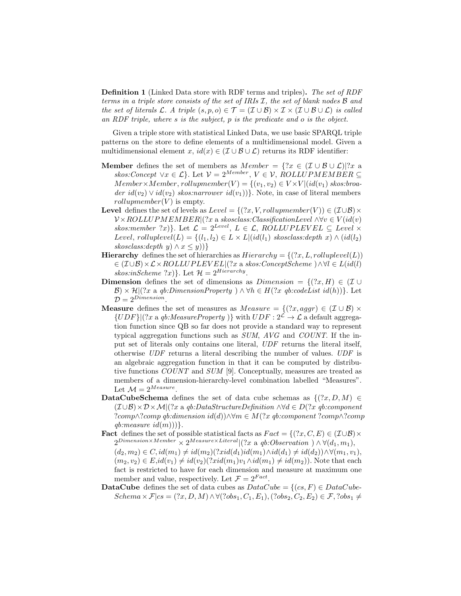**Definition 1** (Linked Data store with RDF terms and triples). The set of RDF terms in a triple store consists of the set of IRIs  $I$ , the set of blank nodes  $B$  and the set of literals L. A triple  $(s, p, o) \in \mathcal{T} = (\mathcal{I} \cup \mathcal{B}) \times \mathcal{I} \times (\mathcal{I} \cup \mathcal{B} \cup \mathcal{L})$  is called an RDF triple, where s is the subject, p is the predicate and o is the object.

Given a triple store with statistical Linked Data, we use basic SPARQL triple patterns on the store to define elements of a multidimensional model. Given a multidimensional element  $x, id(x) \in (\mathcal{I} \cup \mathcal{B} \cup \mathcal{L})$  returns its RDF identifier:

- **Member** defines the set of members as  $Member = \{?x \in (\mathcal{I} \cup \mathcal{B} \cup \mathcal{L})|?x$  a skos:Concept  $\forall x \in \mathcal{L}$ . Let  $\mathcal{V} = 2^{Member}$ ,  $V \in \mathcal{V}$ , ROLLUPMEMBER  $\subseteq$  $Member \times Member, rollupmember(V) = \{(v_1, v_2) \in V \times V | (id(v_1) \; skos: broad$ der  $id(v_2) \vee id(v_2)$  skos:narrower  $id(v_1)$ . Note, in case of literal members rollupmember(V) is empty.
- **Level** defines the set of levels as  $Level = \{(?x, V, rollupmember(V)) \in (I \cup B) \times$  $V \times \text{ROLLUPMEMBER}$  $($ ?x a skosclass:ClassificationLevel ∧ $\forall v \in V(id(v))$ skos: member ?x). Let  $\mathcal{L} = 2^{Level}$ ,  $L \in \mathcal{L}$ , ROLLUPLEVEL  $\subseteq$  Level  $\times$ Level, rolluplevel(L) = { $(l_1, l_2) \in L \times L$ |(id(l<sub>1</sub>) skosclass:depth x)  $\wedge$  (id(l<sub>2</sub>) skosclass:depth y)  $\land$   $x \leq y$ )}
- **Hierarchy** defines the set of hierarchies as  $\text{Hierarchy} = \{(?x, L, \text{rolluplevel}(L))\}$  $\in (I\cup B)\times L\times ROLLUPLEVEL|(?x \text{ a }skos:ConceptScheme) \wedge \forall l \in L(id(l))$ skos:inScheme ?x)}. Let  $\mathcal{H} = 2^{Hierarchy}$ .
- **Dimension** defines the set of dimensions as  $Dimension = \{(?x, H) \in (\mathcal{I} \cup$  $\mathcal{B}) \times \mathcal{H}(\{x \in \mathit{a} \text{ } \mathit{q}b:\text{DimensionProperty } ) \land \forall h \in \mathit{H}(\{x \text{ } \mathit{q}b:\text{codeList } id(h)) \}.$  Let  $\mathcal{D} = 2^{Dimension}$ .
- **Measure** defines the set of measures as  $Measure = \{(?x, aggr) \in (\mathcal{I} \cup \mathcal{B}) \times$  ${UDF}|(?x \text{ a } qb:MeasureProperty)$  with  $UDF: 2^{\mathcal{L}} \rightarrow \mathcal{L}$  a default aggregation function since QB so far does not provide a standard way to represent typical aggregation functions such as SUM, AVG and COUNT. If the input set of literals only contains one literal, UDF returns the literal itself, otherwise UDF returns a literal describing the number of values. UDF is an algebraic aggregation function in that it can be computed by distributive functions COUNT and SUM [9]. Conceptually, measures are treated as members of a dimension-hierarchy-level combination labelled "Measures". Let  $\mathcal{M} = 2^{Measure}$ .
- **DataCubeSchema** defines the set of data cube schemas as  $\{(?x, D, M) \in$  $(\mathcal{I} \cup \mathcal{B}) \times \mathcal{D} \times \mathcal{M} |(?x \text{ a } qb:D \text{at} a Structure Definition \land \forall d \in D(?x \text{ } qb: component$ ?comp∧?comp qb:dimension id(d))∧ $\forall m \in M$ (?x qb:component ?comp∧?comp qb:measure  $id(m))$ }.
- **Fact** defines the set of possible statistical facts as  $Fact = \{(?x, C, E) \in (\mathcal{I} \cup \mathcal{B}) \times$  $2^{Dimension \times Member} \times 2^{Measure \times Literal} |(?x \text{ a } qb:Observation) \land \forall (d_1, m_1),$

 $(d_2, m_2) \in C$ ,  $id(m_1) \neq id(m_2)(?xid(d_1)id(m_1) \wedge id(d_1) \neq id(d_2)) \wedge \forall (m_1, v_1),$  $(m_2, v_2) \in E$ ,  $id(v_1) \neq id(v_2)(?xid(m_1)v_1 \wedge id(m_1) \neq id(m_2))$ . Note that each fact is restricted to have for each dimension and measure at maximum one member and value, respectively. Let  $\mathcal{F} = 2^{Fact}$ .

**DataCube** defines the set of data cubes as  $DataCube = \{(cs, F) \in DataCube Schema \times \mathcal{F}|cs = (?x, D, M) \wedge \forall (?obs_1, C_1, E_1), (?obs_2, C_2, E_2) \in \mathcal{F}, ?obs_1 \neq$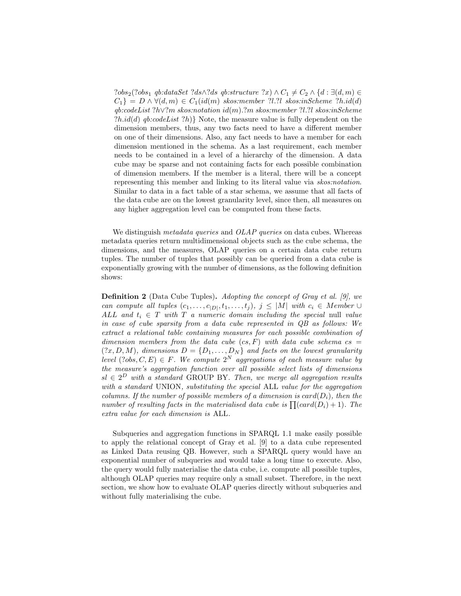?obs<sub>2</sub>(?obs<sub>1</sub> qb:dataSet ?ds∧?ds qb:structure ?x) ∧  $C_1 \neq C_2 \land \{d : \exists (d,m) \in$  $C_1$  =  $D \wedge \forall (d,m) \in C_1(id(m) \; skos:member \; ?l. ?l \; skos: in Scheme \; ?h.id(d)$ qb:codeList ?h∨?m skos:notation id(m).?m skos:member ?l.?l skos:inScheme  $\{2, 2h \}$ .id(d) qb:codeList  $\{2h\}$  Note, the measure value is fully dependent on the dimension members, thus, any two facts need to have a different member on one of their dimensions. Also, any fact needs to have a member for each dimension mentioned in the schema. As a last requirement, each member needs to be contained in a level of a hierarchy of the dimension. A data cube may be sparse and not containing facts for each possible combination of dimension members. If the member is a literal, there will be a concept representing this member and linking to its literal value via skos:notation. Similar to data in a fact table of a star schema, we assume that all facts of the data cube are on the lowest granularity level, since then, all measures on any higher aggregation level can be computed from these facts.

We distinguish *metadata queries* and *OLAP queries* on data cubes. Whereas metadata queries return multidimensional objects such as the cube schema, the dimensions, and the measures, OLAP queries on a certain data cube return tuples. The number of tuples that possibly can be queried from a data cube is exponentially growing with the number of dimensions, as the following definition shows:

**Definition 2** (Data Cube Tuples). Adopting the concept of Gray et al. [9], we can compute all tuples  $(c_1, \ldots, c_{|D|}, t_1, \ldots, t_j), j \leq |M|$  with  $c_i \in Member \cup$ ALL and  $t_i \in T$  with T a numeric domain including the special null value in case of cube sparsity from a data cube represented in QB as follows: We extract a relational table containing measures for each possible combination of dimension members from the data cube  $(c, F)$  with data cube schema  $cs =$  $(?x, D, M)$ , dimensions  $D = \{D_1, \ldots, D_N\}$  and facts on the lowest granularity level  $(?obs, C, E) \in F$ . We compute  $2^N$  aggregations of each measure value by the measure's aggregation function over all possible select lists of dimensions  $sl \in 2^D$  with a standard GROUP BY. Then, we merge all aggregation results with a standard UNION, substituting the special ALL value for the aggregation columns. If the number of possible members of a dimension is card $(D_i)$ , then the number of resulting facts in the materialised data cube is  $\prod (card(D_i) + 1)$ . The extra value for each dimension is ALL.

Subqueries and aggregation functions in SPARQL 1.1 make easily possible to apply the relational concept of Gray et al. [9] to a data cube represented as Linked Data reusing QB. However, such a SPARQL query would have an exponential number of subqueries and would take a long time to execute. Also, the query would fully materialise the data cube, i.e. compute all possible tuples, although OLAP queries may require only a small subset. Therefore, in the next section, we show how to evaluate OLAP queries directly without subqueries and without fully materialising the cube.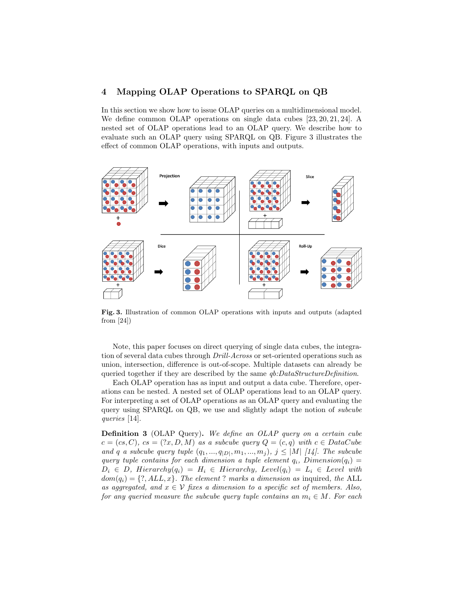# 4 Mapping OLAP Operations to SPARQL on QB

In this section we show how to issue OLAP queries on a multidimensional model. We define common OLAP operations on single data cubes [23, 20, 21, 24]. A nested set of OLAP operations lead to an OLAP query. We describe how to evaluate such an OLAP query using SPARQL on QB. Figure 3 illustrates the effect of common OLAP operations, with inputs and outputs.



Fig. 3. Illustration of common OLAP operations with inputs and outputs (adapted from [24])

Note, this paper focuses on direct querying of single data cubes, the integration of several data cubes through Drill-Across or set-oriented operations such as union, intersection, difference is out-of-scope. Multiple datasets can already be queried together if they are described by the same  $q\dot{b}:DataStructureDefinition$ .

Each OLAP operation has as input and output a data cube. Therefore, operations can be nested. A nested set of OLAP operations lead to an OLAP query. For interpreting a set of OLAP operations as an OLAP query and evaluating the query using SPARQL on QB, we use and slightly adapt the notion of subcube queries [14].

Definition 3 (OLAP Query). We define an OLAP query on a certain cube  $c = (cs, C), cs = (?x, D, M)$  as a subcube query  $Q = (c, q)$  with  $c \in DataCube$ and q a subcube query tuple  $(q_1, ..., q_{|D|}, m_1, ..., m_j)$ ,  $j \leq |M|$  [14]. The subcube query tuple contains for each dimension a tuple element  $q_i$ , Dimension $(q_i)$  =  $D_i \in D$ , Hierarchy $(q_i) = H_i \in H$ ierarchy, Level $(q_i) = L_i \in Level$  with  $dom(q_i) = \{?, ALL, x\}.$  The element ? marks a dimension as inquired, the ALL as aggregated, and  $x \in V$  fixes a dimension to a specific set of members. Also, for any queried measure the subcube query tuple contains an  $m_i \in M$ . For each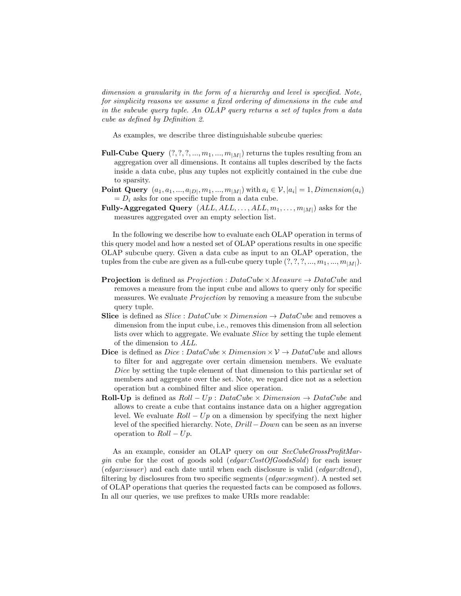dimension a granularity in the form of a hierarchy and level is specified. Note, for simplicity reasons we assume a fixed ordering of dimensions in the cube and in the subcube query tuple. An OLAP query returns a set of tuples from a data cube as defined by Definition 2.

As examples, we describe three distinguishable subcube queries:

- Full-Cube Query  $(?,?,?,...,m_1,...,m_{|M|})$  returns the tuples resulting from an aggregation over all dimensions. It contains all tuples described by the facts inside a data cube, plus any tuples not explicitly contained in the cube due to sparsity.
- **Point Query**  $(a_1, a_1, ..., a_{|D|}, m_1, ..., m_{|M|})$  with  $a_i \in V$ ,  $|a_i| = 1$ , *Dimension* $(a_i)$  $= D_i$  asks for one specific tuple from a data cube.
- Fully-Aggregated Query  $(ALL, ALL, ... , ALL, m_1, ..., m_{|M|})$  asks for the measures aggregated over an empty selection list.

In the following we describe how to evaluate each OLAP operation in terms of this query model and how a nested set of OLAP operations results in one specific OLAP subcube query. Given a data cube as input to an OLAP operation, the tuples from the cube are given as a full-cube query tuple  $(?,?,?,...,m_1,...,m_{|M|}).$ 

- **Projection** is defined as  $Projection: DataCube \times Measure \rightarrow DataCube$  and removes a measure from the input cube and allows to query only for specific measures. We evaluate *Projection* by removing a measure from the subcube query tuple.
- **Slice** is defined as *Slice* :  $DataCube \times Dimension \rightarrow DataCube$  and removes a dimension from the input cube, i.e., removes this dimension from all selection lists over which to aggregate. We evaluate Slice by setting the tuple element of the dimension to ALL.
- Dice is defined as  $Dice: DataCube \times Dimension \times V \rightarrow DataCube$  and allows to filter for and aggregate over certain dimension members. We evaluate Dice by setting the tuple element of that dimension to this particular set of members and aggregate over the set. Note, we regard dice not as a selection operation but a combined filter and slice operation.
- **Roll-Up** is defined as  $Roll Up : DataCube \times Dimension \rightarrow DataCube$  and allows to create a cube that contains instance data on a higher aggregation level. We evaluate  $Roll - Up$  on a dimension by specifying the next higher level of the specified hierarchy. Note, Drill−Down can be seen as an inverse operation to  $Roll - Up$ .

As an example, consider an OLAP query on our  $SecCubeGrossProfitMar$ gin cube for the cost of goods sold (edgar:CostOfGoodsSold) for each issuer (edgar:issuer) and each date until when each disclosure is valid (edgar:dtend), filtering by disclosures from two specific segments (edgar:segment). A nested set of OLAP operations that queries the requested facts can be composed as follows. In all our queries, we use prefixes to make URIs more readable: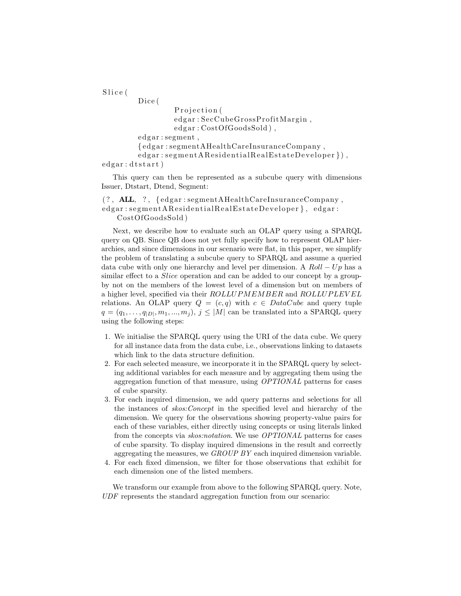```
Dice (
                  Projection (
                  edgar : SecCubeGrossProfitMargin,
                  edgar : CostOfGoodsSold),
         edgar : segment,
         { ed g a r : segmentAHealthCareInsuranceCompany ,
         ed gar : segment AR esidential RealEste Developer \}),
edgar:dtstar)
```
Slice (

This query can then be represented as a subcube query with dimensions Issuer, Dtstart, Dtend, Segment:

```
( ?, ALL, ?, {edgar:segmentAHealthCareInsurance Company,edgar : segmentAR esidentialRealEstateDeveloper }, edgar :
   CostOfGoodsSold)
```
Next, we describe how to evaluate such an OLAP query using a SPARQL query on QB. Since QB does not yet fully specify how to represent OLAP hierarchies, and since dimensions in our scenario were flat, in this paper, we simplify the problem of translating a subcube query to SPARQL and assume a queried data cube with only one hierarchy and level per dimension. A  $Roll - Up$  has a similar effect to a *Slice* operation and can be added to our concept by a groupby not on the members of the lowest level of a dimension but on members of a higher level, specified via their ROLLUPMEMBER and ROLLUPLEVEL relations. An OLAP query  $Q = (c, q)$  with  $c \in DataCube$  and query tuple  $q = (q_1, \ldots, q_{|D|}, m_1, \ldots, m_j), j \leq |M|$  can be translated into a SPARQL query using the following steps:

- 1. We initialise the SPARQL query using the URI of the data cube. We query for all instance data from the data cube, i.e., observations linking to datasets which link to the data structure definition.
- 2. For each selected measure, we incorporate it in the SPARQL query by selecting additional variables for each measure and by aggregating them using the aggregation function of that measure, using OPTIONAL patterns for cases of cube sparsity.
- 3. For each inquired dimension, we add query patterns and selections for all the instances of skos:Concept in the specified level and hierarchy of the dimension. We query for the observations showing property-value pairs for each of these variables, either directly using concepts or using literals linked from the concepts via skos:notation. We use OPTIONAL patterns for cases of cube sparsity. To display inquired dimensions in the result and correctly aggregating the measures, we GROUP BY each inquired dimension variable.
- 4. For each fixed dimension, we filter for those observations that exhibit for each dimension one of the listed members.

We transform our example from above to the following SPARQL query. Note, UDF represents the standard aggregation function from our scenario: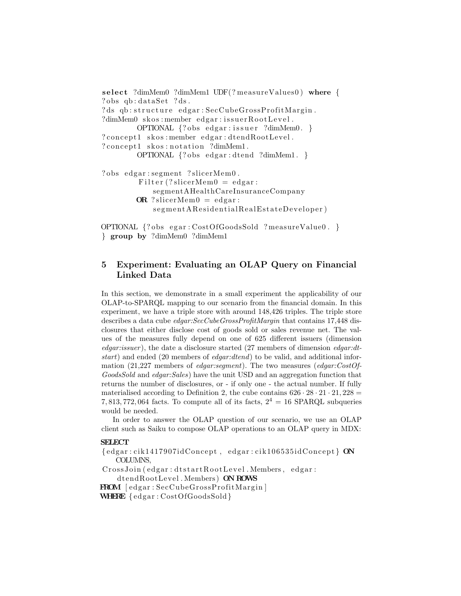```
select ?dimMem0 ?dimMem1 UDF(?measureValues0) where {
? obs qb: dataSet ? ds.
? ds qb: structure edgar: SecCubeGrossProfitMargin.
?dimMem0 skos: member edgar: issuerRootLevel.
        OPTIONAL {?obs edgar: issuer ?dimMem0.}
? concept1 skos: member edgar: dtendRootLevel.
? \text{concept1} skos: notation ? \text{dimMem1}.OPTIONAL {?obs edgar:dtend ?dimMem1. }
? obs edgar: segment ? slicerMem0.
         Filter (? slicerMem0 =edgar :
            segmentAHealthCareInsuranceCompany
        OR ? slicerMem0 =edgar :
            segment A Residential RealEste Developer)OPTIONAL {?obs egar: CostOfGoodsSold ?measureValue0.}
```
} group by ?dimMem0 ?dimMem1

# 5 Experiment: Evaluating an OLAP Query on Financial Linked Data

In this section, we demonstrate in a small experiment the applicability of our OLAP-to-SPARQL mapping to our scenario from the financial domain. In this experiment, we have a triple store with around 148,426 triples. The triple store describes a data cube edgar:SecCubeGrossProfitMargin that contains 17,448 disclosures that either disclose cost of goods sold or sales revenue net. The values of the measures fully depend on one of 625 different issuers (dimension  $edgar: issuer$ ), the date a disclosure started (27 members of dimension  $edgar:dt$ start) and ended (20 members of edgar:dtend) to be valid, and additional information  $(21,227$  members of *edgar:segment*). The two measures (*edgar:CostOf-*GoodsSold and edgar:Sales) have the unit USD and an aggregation function that returns the number of disclosures, or - if only one - the actual number. If fully materialised according to Definition 2, the cube contains  $626 \cdot 28 \cdot 21 \cdot 21$ ,  $228 =$ 7, 813, 772, 064 facts. To compute all of its facts,  $2^4 = 16$  SPARQL subqueries would be needed.

In order to answer the OLAP question of our scenario, we use an OLAP client such as Saiku to compose OLAP operations to an OLAP query in MDX:

#### **SELECT**

 ${edgar: cik1417907idConcept, edgar: cik106535idConcept}$  ON COLUMNS,

CrossJoin (edgar:dtstartRootLevel.Members, edgar:

dtendRootLevel.Members) ON ROWS

FROM [edgar: SecCubeGrossProfitMargin]

WHERE  $\{edgar: CostOfGoodsSold\}$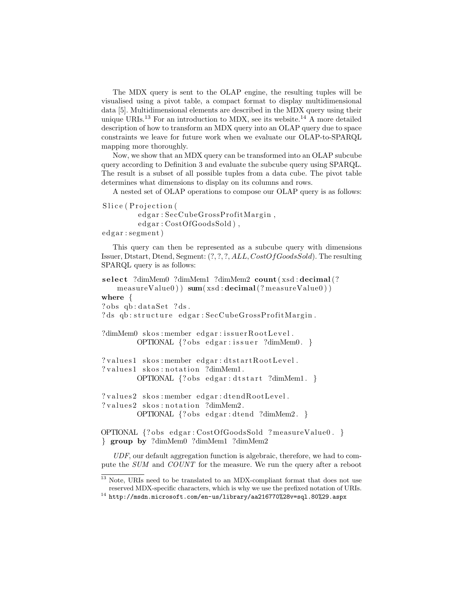The MDX query is sent to the OLAP engine, the resulting tuples will be visualised using a pivot table, a compact format to display multidimensional data [5]. Multidimensional elements are described in the MDX query using their unique URIs.<sup>13</sup> For an introduction to MDX, see its website.<sup>14</sup> A more detailed description of how to transform an MDX query into an OLAP query due to space constraints we leave for future work when we evaluate our OLAP-to-SPARQL mapping more thoroughly.

Now, we show that an MDX query can be transformed into an OLAP subcube query according to Definition 3 and evaluate the subcube query using SPARQL. The result is a subset of all possible tuples from a data cube. The pivot table determines what dimensions to display on its columns and rows.

A nested set of OLAP operations to compose our OLAP query is as follows:

```
Slice (Projection)
         edgar : SecCubeGrossProfitMargin,
         edgar : CostOfGoodsSold),
edgar : segment)
```
This query can then be represented as a subcube query with dimensions Issuer, Dtstart, Dtend, Segment: (?, ?, ?, ALL, CostOfGoodsSold). The resulting SPARQL query is as follows:

```
select ?dimMem0 ?dimMem1 ?dimMem2 count (xsd : decimal (?)
   measureValue0) ) sum(xsd:decimal(?measureValue0))where {
? obs qb: dataSet ? ds.
? ds qb : structure edgar : SecCubeGrossProfitMargin.
?dimMem0 skos: member edgar: issuerRootLevel.
        OPTIONAL {?obs edgar: issuer ?dimMem0.}
? values1 skos: member edgar: dtstartRootLevel.
? values1 skos: notation ?dimMem1.
        OPTIONAL {?obs edgar:dtstart ?dimMem1.}
? values2 skos: member edgar: dtendRootLevel.
? values2 skos: notation ?dimMem2.
        OPTIONAL {?obs edgar:dtend ?dimMem2.}
OPTIONAL {?obs edgar: CostOfGoodsSold ?measureValue0.}
```
} group by ?dimMem0 ?dimMem1 ?dimMem2

UDF, our default aggregation function is algebraic, therefore, we had to compute the SUM and COUNT for the measure. We run the query after a reboot

<sup>&</sup>lt;sup>13</sup> Note, URIs need to be translated to an MDX-compliant format that does not use reserved MDX-specific characters, which is why we use the prefixed notation of URIs.

 $^{14}$ http://msdn.microsoft.com/en-us/library/aa216770%28v=sql.80%29.aspx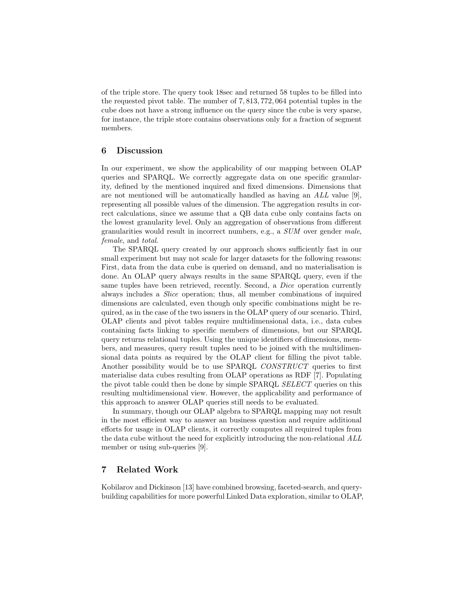of the triple store. The query took 18sec and returned 58 tuples to be filled into the requested pivot table. The number of 7, 813, 772, 064 potential tuples in the cube does not have a strong influence on the query since the cube is very sparse, for instance, the triple store contains observations only for a fraction of segment members.

### 6 Discussion

In our experiment, we show the applicability of our mapping between OLAP queries and SPARQL. We correctly aggregate data on one specific granularity, defined by the mentioned inquired and fixed dimensions. Dimensions that are not mentioned will be automatically handled as having an ALL value [9], representing all possible values of the dimension. The aggregation results in correct calculations, since we assume that a QB data cube only contains facts on the lowest granularity level. Only an aggregation of observations from different granularities would result in incorrect numbers, e.g., a SUM over gender male, female, and total.

The SPARQL query created by our approach shows sufficiently fast in our small experiment but may not scale for larger datasets for the following reasons: First, data from the data cube is queried on demand, and no materialisation is done. An OLAP query always results in the same SPARQL query, even if the same tuples have been retrieved, recently. Second, a *Dice* operation currently always includes a Slice operation; thus, all member combinations of inquired dimensions are calculated, even though only specific combinations might be required, as in the case of the two issuers in the OLAP query of our scenario. Third, OLAP clients and pivot tables require multidimensional data, i.e., data cubes containing facts linking to specific members of dimensions, but our SPARQL query returns relational tuples. Using the unique identifiers of dimensions, members, and measures, query result tuples need to be joined with the multidimensional data points as required by the OLAP client for filling the pivot table. Another possibility would be to use SPARQL CONSTRUCT queries to first materialise data cubes resulting from OLAP operations as RDF [7]. Populating the pivot table could then be done by simple SPARQL SELECT queries on this resulting multidimensional view. However, the applicability and performance of this approach to answer OLAP queries still needs to be evaluated.

In summary, though our OLAP algebra to SPARQL mapping may not result in the most efficient way to answer an business question and require additional efforts for usage in OLAP clients, it correctly computes all required tuples from the data cube without the need for explicitly introducing the non-relational ALL member or using sub-queries [9].

## 7 Related Work

Kobilarov and Dickinson [13] have combined browsing, faceted-search, and querybuilding capabilities for more powerful Linked Data exploration, similar to OLAP,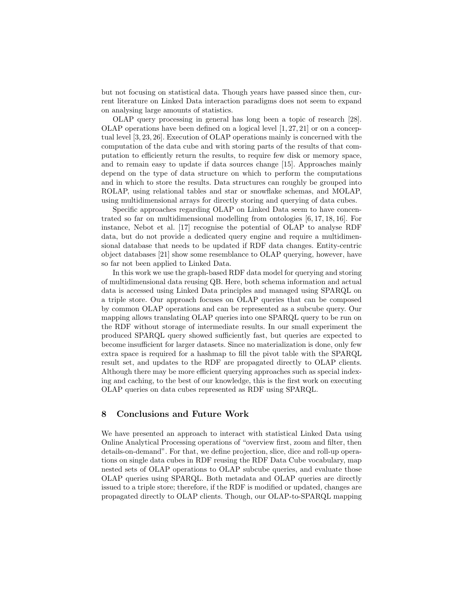but not focusing on statistical data. Though years have passed since then, current literature on Linked Data interaction paradigms does not seem to expand on analysing large amounts of statistics.

OLAP query processing in general has long been a topic of research [28]. OLAP operations have been defined on a logical level [1, 27, 21] or on a conceptual level [3, 23, 26]. Execution of OLAP operations mainly is concerned with the computation of the data cube and with storing parts of the results of that computation to efficiently return the results, to require few disk or memory space, and to remain easy to update if data sources change [15]. Approaches mainly depend on the type of data structure on which to perform the computations and in which to store the results. Data structures can roughly be grouped into ROLAP, using relational tables and star or snowflake schemas, and MOLAP, using multidimensional arrays for directly storing and querying of data cubes.

Specific approaches regarding OLAP on Linked Data seem to have concentrated so far on multidimensional modelling from ontologies [6, 17, 18, 16]. For instance, Nebot et al. [17] recognise the potential of OLAP to analyse RDF data, but do not provide a dedicated query engine and require a multidimensional database that needs to be updated if RDF data changes. Entity-centric object databases [21] show some resemblance to OLAP querying, however, have so far not been applied to Linked Data.

In this work we use the graph-based RDF data model for querying and storing of multidimensional data reusing QB. Here, both schema information and actual data is accessed using Linked Data principles and managed using SPARQL on a triple store. Our approach focuses on OLAP queries that can be composed by common OLAP operations and can be represented as a subcube query. Our mapping allows translating OLAP queries into one SPARQL query to be run on the RDF without storage of intermediate results. In our small experiment the produced SPARQL query showed sufficiently fast, but queries are expected to become insufficient for larger datasets. Since no materialization is done, only few extra space is required for a hashmap to fill the pivot table with the SPARQL result set, and updates to the RDF are propagated directly to OLAP clients. Although there may be more efficient querying approaches such as special indexing and caching, to the best of our knowledge, this is the first work on executing OLAP queries on data cubes represented as RDF using SPARQL.

## 8 Conclusions and Future Work

We have presented an approach to interact with statistical Linked Data using Online Analytical Processing operations of "overview first, zoom and filter, then details-on-demand". For that, we define projection, slice, dice and roll-up operations on single data cubes in RDF reusing the RDF Data Cube vocabulary, map nested sets of OLAP operations to OLAP subcube queries, and evaluate those OLAP queries using SPARQL. Both metadata and OLAP queries are directly issued to a triple store; therefore, if the RDF is modified or updated, changes are propagated directly to OLAP clients. Though, our OLAP-to-SPARQL mapping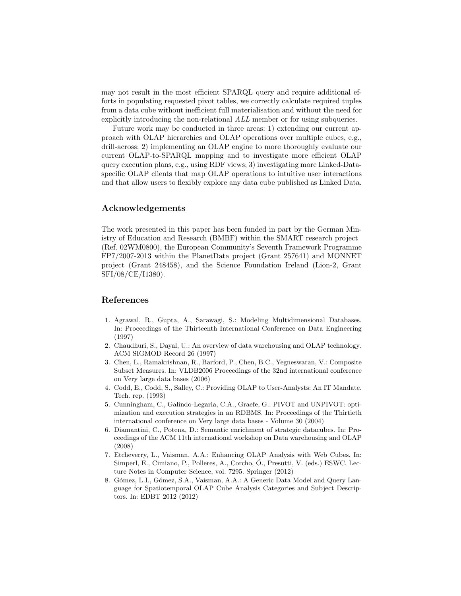may not result in the most efficient SPARQL query and require additional efforts in populating requested pivot tables, we correctly calculate required tuples from a data cube without inefficient full materialisation and without the need for explicitly introducing the non-relational ALL member or for using subqueries.

Future work may be conducted in three areas: 1) extending our current approach with OLAP hierarchies and OLAP operations over multiple cubes, e.g., drill-across; 2) implementing an OLAP engine to more thoroughly evaluate our current OLAP-to-SPARQL mapping and to investigate more efficient OLAP query execution plans, e.g., using RDF views; 3) investigating more Linked-Dataspecific OLAP clients that map OLAP operations to intuitive user interactions and that allow users to flexibly explore any data cube published as Linked Data.

## Acknowledgements

The work presented in this paper has been funded in part by the German Ministry of Education and Research (BMBF) within the SMART research project (Ref. 02WM0800), the European Community's Seventh Framework Programme FP7/2007-2013 within the PlanetData project (Grant 257641) and MONNET project (Grant 248458), and the Science Foundation Ireland (Lion-2, Grant SFI/08/CE/I1380).

### References

- 1. Agrawal, R., Gupta, A., Sarawagi, S.: Modeling Multidimensional Databases. In: Proceedings of the Thirteenth International Conference on Data Engineering (1997)
- 2. Chaudhuri, S., Dayal, U.: An overview of data warehousing and OLAP technology. ACM SIGMOD Record 26 (1997)
- 3. Chen, L., Ramakrishnan, R., Barford, P., Chen, B.C., Yegneswaran, V.: Composite Subset Measures. In: VLDB2006 Proceedings of the 32nd international conference on Very large data bases (2006)
- 4. Codd, E., Codd, S., Salley, C.: Providing OLAP to User-Analysts: An IT Mandate. Tech. rep. (1993)
- 5. Cunningham, C., Galindo-Legaria, C.A., Graefe, G.: PIVOT and UNPIVOT: optimization and execution strategies in an RDBMS. In: Proceedings of the Thirtieth international conference on Very large data bases - Volume 30 (2004)
- 6. Diamantini, C., Potena, D.: Semantic enrichment of strategic datacubes. In: Proceedings of the ACM 11th international workshop on Data warehousing and OLAP (2008)
- 7. Etcheverry, L., Vaisman, A.A.: Enhancing OLAP Analysis with Web Cubes. In: Simperl, E., Cimiano, P., Polleres, A., Corcho, O., Presutti, V. (eds.) ESWC. Lec- ´ ture Notes in Computer Science, vol. 7295. Springer (2012)
- 8. Gómez, L.I., Gómez, S.A., Vaisman, A.A.: A Generic Data Model and Query Language for Spatiotemporal OLAP Cube Analysis Categories and Subject Descriptors. In: EDBT 2012 (2012)